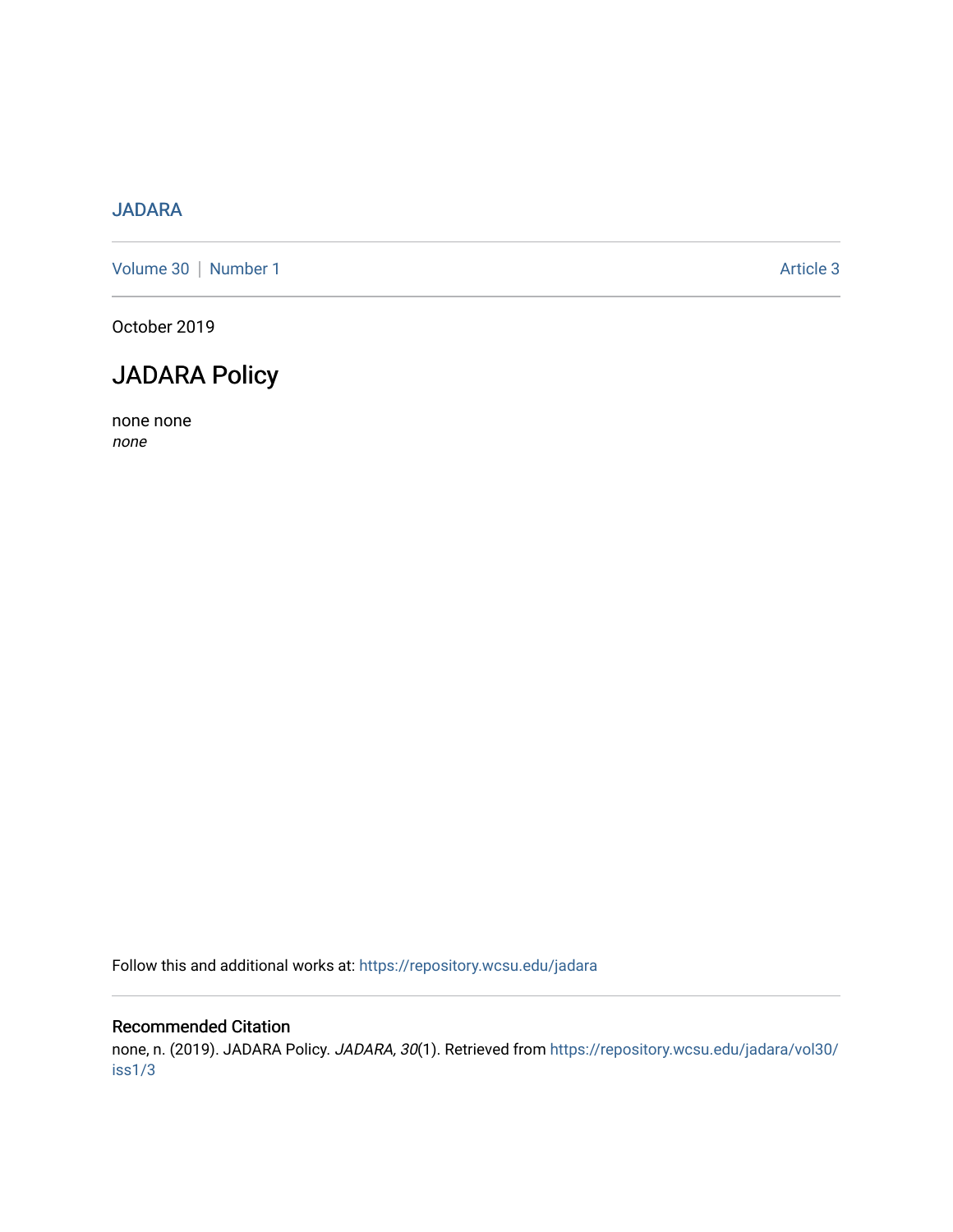#### [JADARA](https://repository.wcsu.edu/jadara)

[Volume 30](https://repository.wcsu.edu/jadara/vol30) | [Number 1](https://repository.wcsu.edu/jadara/vol30/iss1) Article 3

October 2019

### JADARA Policy

none none none

Follow this and additional works at: [https://repository.wcsu.edu/jadara](https://repository.wcsu.edu/jadara?utm_source=repository.wcsu.edu%2Fjadara%2Fvol30%2Fiss1%2F3&utm_medium=PDF&utm_campaign=PDFCoverPages)

#### Recommended Citation

none, n. (2019). JADARA Policy. JADARA, 30(1). Retrieved from [https://repository.wcsu.edu/jadara/vol30/](https://repository.wcsu.edu/jadara/vol30/iss1/3?utm_source=repository.wcsu.edu%2Fjadara%2Fvol30%2Fiss1%2F3&utm_medium=PDF&utm_campaign=PDFCoverPages) [iss1/3](https://repository.wcsu.edu/jadara/vol30/iss1/3?utm_source=repository.wcsu.edu%2Fjadara%2Fvol30%2Fiss1%2F3&utm_medium=PDF&utm_campaign=PDFCoverPages)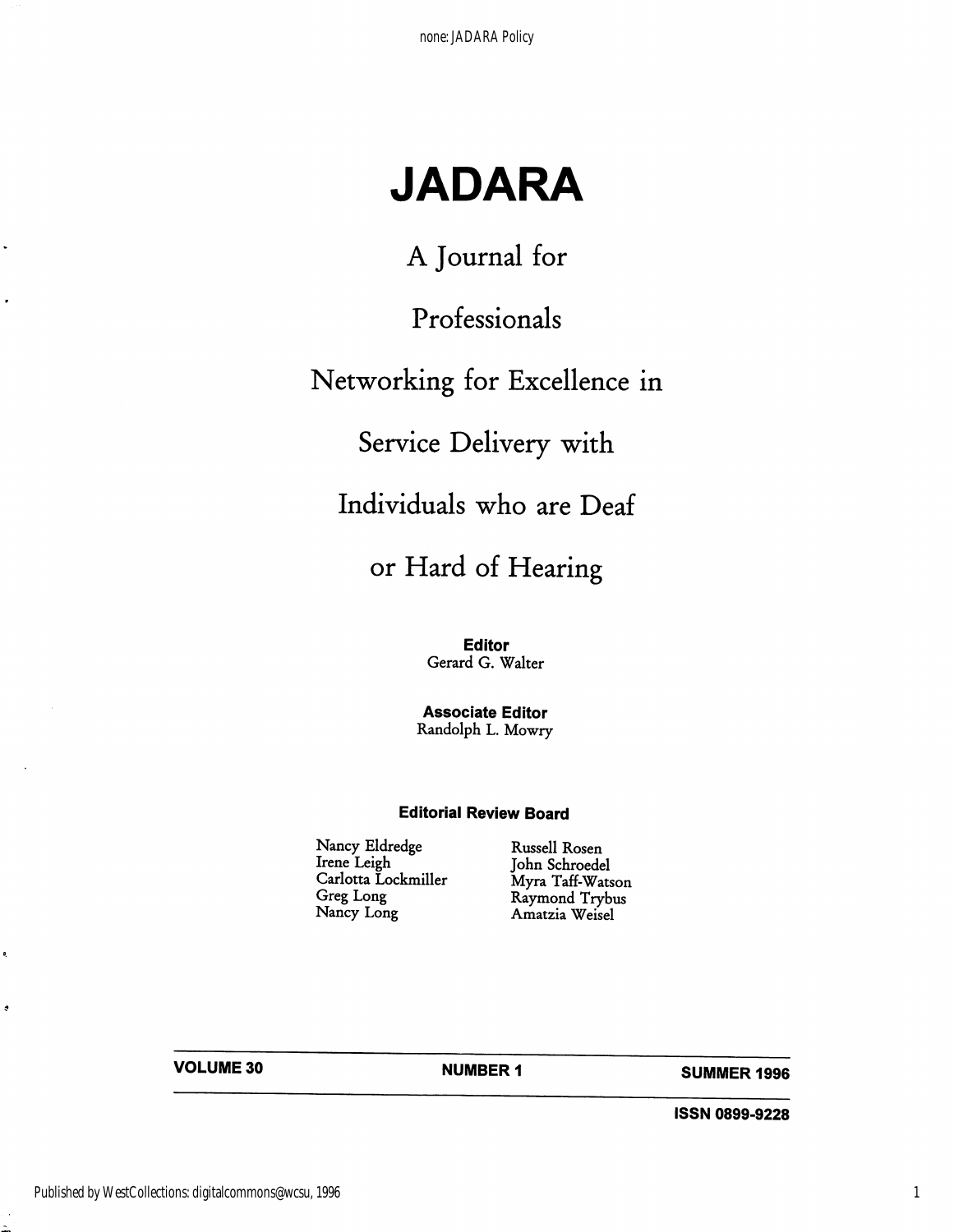# JADARA

A Journal for

## Professionals

## Networking for Excellence in

## Service Delivery with

## Individuals who are Deaf

## or Hard of Hearing

Editor Gerard G. Walter

Associate Editor Randolph L. Mowry

#### Editorial Review Board

Nancy Eldredge Russell Rosen<br>Irene Leigh John Schroede Irene Leigh John Schroedel<br>Carlotta Lockmiller Myra Taff-Wats Carlotta Lockmiller Myra Taff-Watson<br>Greg Long Raymond Trybus Greg Long Raymond Trybus<br>Nancy Long Raymond Trybus

Amatzia Weisel

VOLUME 30 NUMBER 1 SUMMER 1996

iSSN 0899-9228

.

o,

 $\bullet$